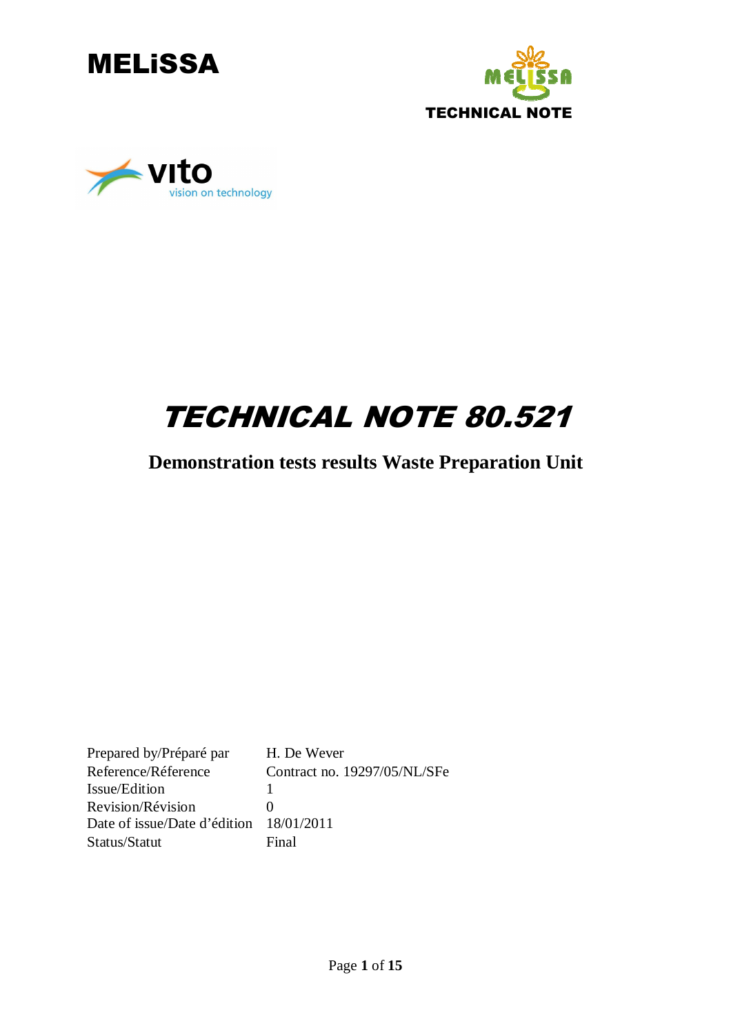





# TECHNICAL NOTE 80.521

### **Demonstration tests results Waste Preparation Unit**

Prepared by/Préparé par H. De Wever Reference/Réference Contract no. 19297/05/NL/SFe Issue/Edition 1 Revision/Révision 0 Date of issue/Date d'édition 18/01/2011 Status/Statut Final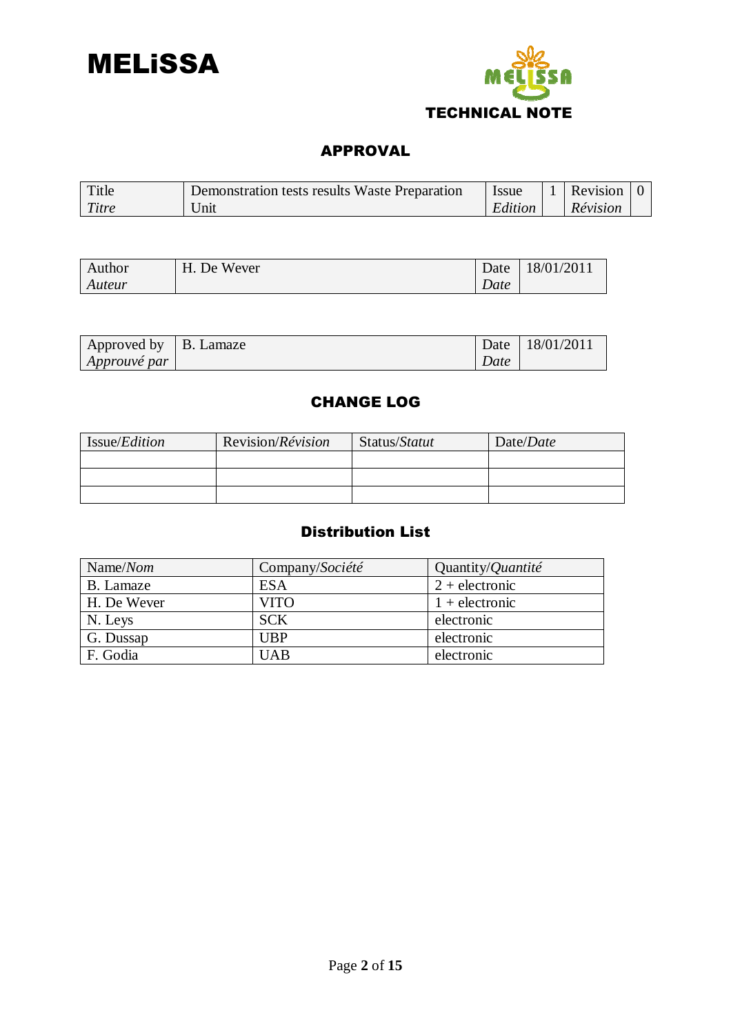



#### APPROVAL

| Title | Demonstration tests results Waste Preparation | <b>Issue</b> | $\vert$ 1 Revision $\vert$ 0 |  |
|-------|-----------------------------------------------|--------------|------------------------------|--|
| Titre | Unit                                          | Edition      | Révision                     |  |

| Author | . De Wever<br>Η. | Date | 18/01/2011 |
|--------|------------------|------|------------|
| Auteur |                  | Date |            |

| $\vert$ Approved by $\vert$ B. Lamaze |      | Date   18/01/2011 |
|---------------------------------------|------|-------------------|
| $\vert$ Approuvé par $\vert$          | Date |                   |

#### CHANGE LOG

| Issue/ <i>Edition</i> | Revision/ <i>Révision</i> | Status/Statut | Date/Date |
|-----------------------|---------------------------|---------------|-----------|
|                       |                           |               |           |
|                       |                           |               |           |
|                       |                           |               |           |

### Distribution List

| Name/ $N$ om | Company/Société | Quantity/ <i>Quantité</i> |
|--------------|-----------------|---------------------------|
| B. Lamaze    | <b>ESA</b>      | $2 +$ electronic          |
| H. De Wever  | VITO            | $1 +$ electronic          |
| N. Leys      | <b>SCK</b>      | electronic                |
| G. Dussap    | UBP             | electronic                |
| F. Godia     | <b>UAB</b>      | electronic                |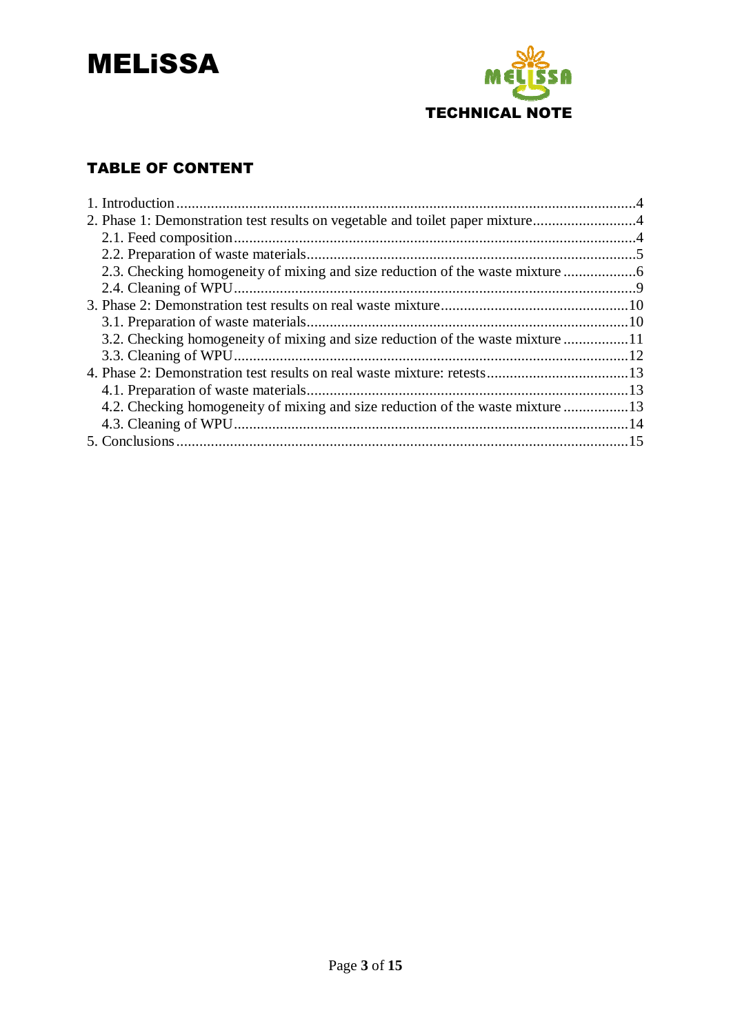



### TABLE OF CONTENT

| 2. Phase 1: Demonstration test results on vegetable and toilet paper mixture4  |  |
|--------------------------------------------------------------------------------|--|
|                                                                                |  |
|                                                                                |  |
|                                                                                |  |
|                                                                                |  |
|                                                                                |  |
|                                                                                |  |
| 3.2. Checking homogeneity of mixing and size reduction of the waste mixture 11 |  |
|                                                                                |  |
|                                                                                |  |
|                                                                                |  |
| 4.2. Checking homogeneity of mixing and size reduction of the waste mixture 13 |  |
|                                                                                |  |
|                                                                                |  |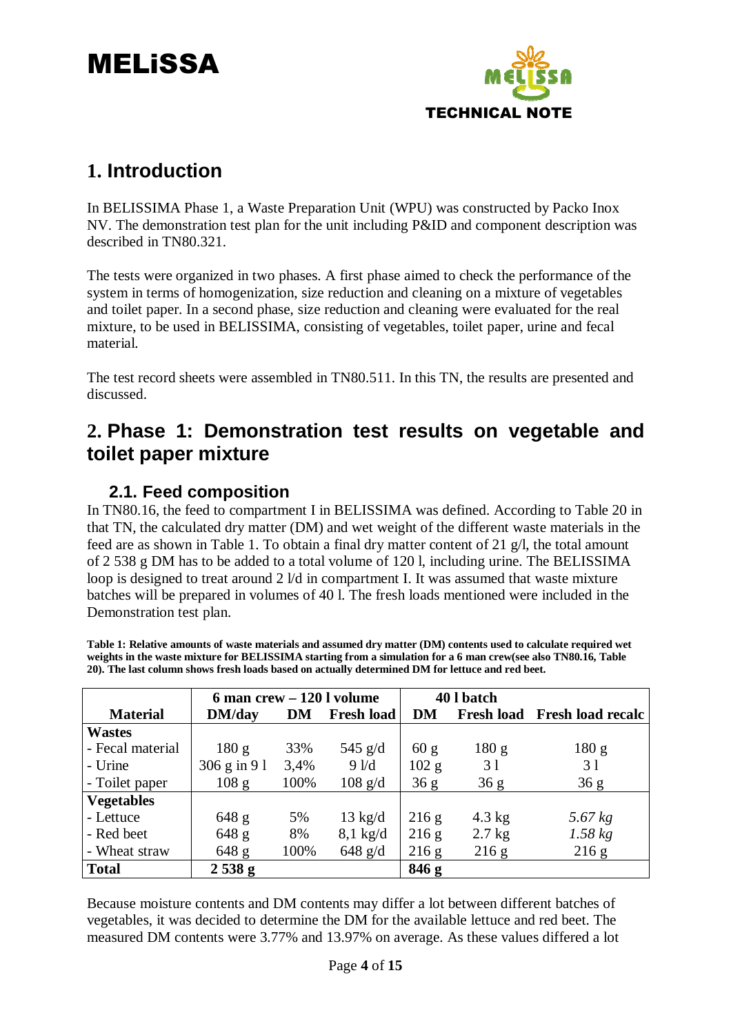

## **1. Introduction**

In BELISSIMA Phase 1, a Waste Preparation Unit (WPU) was constructed by Packo Inox NV. The demonstration test plan for the unit including P&ID and component description was described in TN80.321.

The tests were organized in two phases. A first phase aimed to check the performance of the system in terms of homogenization, size reduction and cleaning on a mixture of vegetables and toilet paper. In a second phase, size reduction and cleaning were evaluated for the real mixture, to be used in BELISSIMA, consisting of vegetables, toilet paper, urine and fecal material.

The test record sheets were assembled in TN80.511. In this TN, the results are presented and discussed.

### **2. Phase 1: Demonstration test results on vegetable and toilet paper mixture**

### **2.1. Feed composition**

In TN80.16, the feed to compartment I in BELISSIMA was defined. According to Table 20 in that TN, the calculated dry matter (DM) and wet weight of the different waste materials in the feed are as shown in Table 1. To obtain a final dry matter content of 21 g/l, the total amount of 2 538 g DM has to be added to a total volume of 120 l, including urine. The BELISSIMA loop is designed to treat around 2  $\frac{1}{d}$  in compartment I. It was assumed that waste mixture batches will be prepared in volumes of 40 l. The fresh loads mentioned were included in the Demonstration test plan.

**Table 1: Relative amounts of waste materials and assumed dry matter (DM) contents used to calculate required wet weights in the waste mixture for BELISSIMA starting from a simulation for a 6 man crew(see also TN80.16, Table 20). The last column shows fresh loads based on actually determined DM for lettuce and red beet.** 

|                   | $6$ man crew $-120$ l volume |      |                    | 40 l batch |          |                              |
|-------------------|------------------------------|------|--------------------|------------|----------|------------------------------|
| <b>Material</b>   | DM/day                       | DM   | <b>Fresh load</b>  | <b>DM</b>  |          | Fresh load Fresh load recalc |
| <b>Wastes</b>     |                              |      |                    |            |          |                              |
| - Fecal material  | 180 g                        | 33%  | 545 $g/d$          | 60 g       | 180 g    | 180 g                        |
| - Urine           | $306 \text{ g}$ in 91        | 3,4% | 9/1                | 102 g      | 31       | 31                           |
| - Toilet paper    | 108 <sub>g</sub>             | 100% | $108 \text{ g/d}$  | 36 g       | 36 g     | 36g                          |
| <b>Vegetables</b> |                              |      |                    |            |          |                              |
| - Lettuce         | $648$ g                      | 5%   | $13 \text{ kg/d}$  | 216 g      | $4.3$ kg | 5.67 kg                      |
| - Red beet        | 648 g                        | 8%   | $8,1 \text{ kg/d}$ | 216 g      | $2.7$ kg | $1.58$ kg                    |
| - Wheat straw     | 648 g                        | 100% | 648 $g/d$          | 216 g      | 216 g    | 216 g                        |
| Total             | 2538g                        |      |                    | 846 g      |          |                              |

Because moisture contents and DM contents may differ a lot between different batches of vegetables, it was decided to determine the DM for the available lettuce and red beet. The measured DM contents were 3.77% and 13.97% on average. As these values differed a lot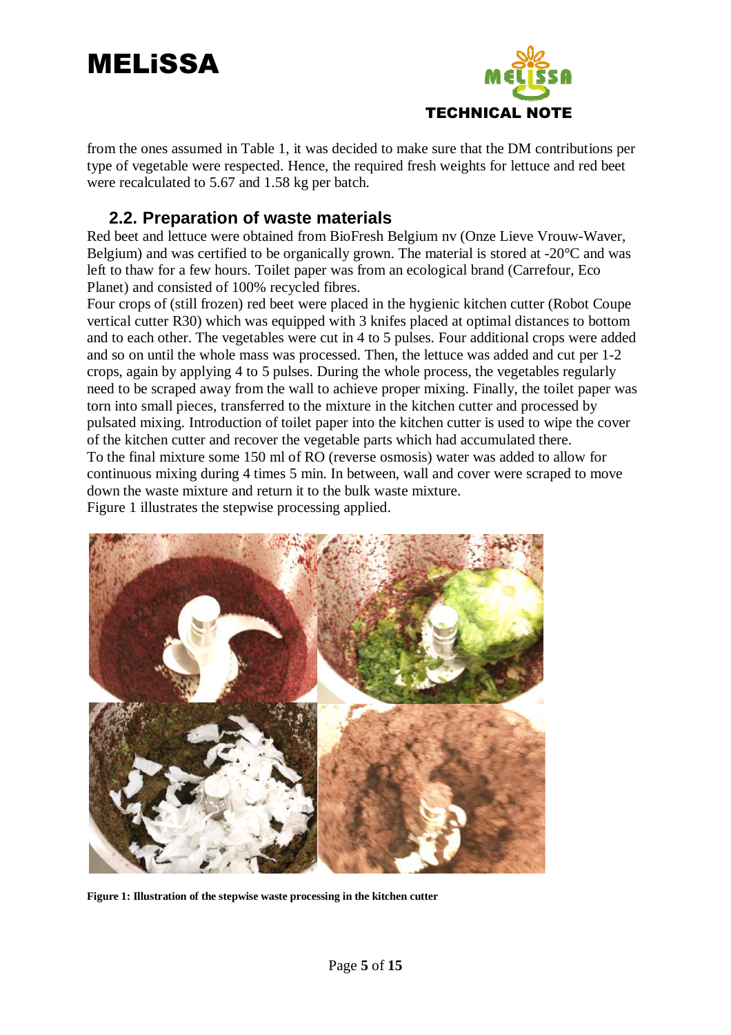



from the ones assumed in Table 1, it was decided to make sure that the DM contributions per type of vegetable were respected. Hence, the required fresh weights for lettuce and red beet were recalculated to 5.67 and 1.58 kg per batch.

#### **2.2. Preparation of waste materials**

Red beet and lettuce were obtained from BioFresh Belgium nv (Onze Lieve Vrouw-Waver, Belgium) and was certified to be organically grown. The material is stored at -20°C and was left to thaw for a few hours. Toilet paper was from an ecological brand (Carrefour, Eco Planet) and consisted of 100% recycled fibres.

Four crops of (still frozen) red beet were placed in the hygienic kitchen cutter (Robot Coupe vertical cutter R30) which was equipped with 3 knifes placed at optimal distances to bottom and to each other. The vegetables were cut in 4 to 5 pulses. Four additional crops were added and so on until the whole mass was processed. Then, the lettuce was added and cut per 1-2 crops, again by applying 4 to 5 pulses. During the whole process, the vegetables regularly need to be scraped away from the wall to achieve proper mixing. Finally, the toilet paper was torn into small pieces, transferred to the mixture in the kitchen cutter and processed by pulsated mixing. Introduction of toilet paper into the kitchen cutter is used to wipe the cover of the kitchen cutter and recover the vegetable parts which had accumulated there. To the final mixture some 150 ml of RO (reverse osmosis) water was added to allow for continuous mixing during 4 times 5 min. In between, wall and cover were scraped to move down the waste mixture and return it to the bulk waste mixture. Figure 1 illustrates the stepwise processing applied.



**Figure 1: Illustration of the stepwise waste processing in the kitchen cutter**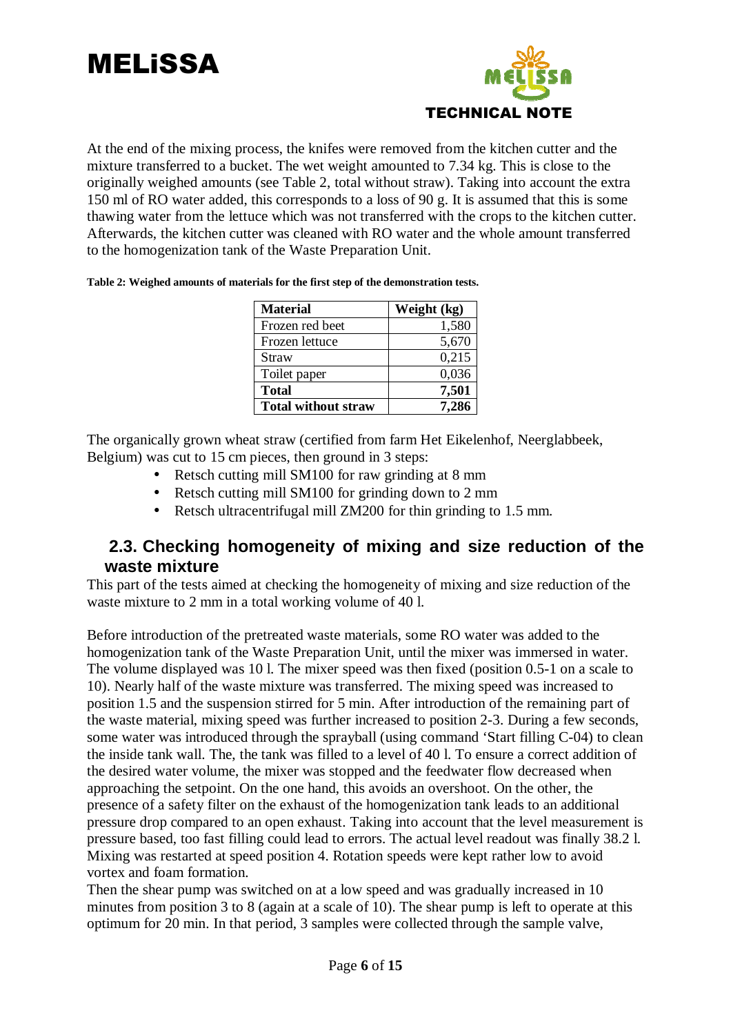



At the end of the mixing process, the knifes were removed from the kitchen cutter and the mixture transferred to a bucket. The wet weight amounted to 7.34 kg. This is close to the originally weighed amounts (see Table 2, total without straw). Taking into account the extra 150 ml of RO water added, this corresponds to a loss of 90 g. It is assumed that this is some thawing water from the lettuce which was not transferred with the crops to the kitchen cutter. Afterwards, the kitchen cutter was cleaned with RO water and the whole amount transferred to the homogenization tank of the Waste Preparation Unit.

| <b>Material</b>            | Weight (kg) |
|----------------------------|-------------|
| Frozen red beet            | 1,580       |
| Frozen lettuce             | 5,670       |
| Straw                      | 0,215       |
| Toilet paper               | 0,036       |
| <b>Total</b>               | 7,501       |
| <b>Total without straw</b> | 7,286       |

**Table 2: Weighed amounts of materials for the first step of the demonstration tests.** 

The organically grown wheat straw (certified from farm Het Eikelenhof, Neerglabbeek, Belgium) was cut to 15 cm pieces, then ground in 3 steps:

- Retsch cutting mill SM100 for raw grinding at 8 mm
- Retsch cutting mill SM100 for grinding down to 2 mm
- Retsch ultracentrifugal mill ZM200 for thin grinding to 1.5 mm.

### **2.3. Checking homogeneity of mixing and size reduction of the waste mixture**

This part of the tests aimed at checking the homogeneity of mixing and size reduction of the waste mixture to 2 mm in a total working volume of 40 l.

Before introduction of the pretreated waste materials, some RO water was added to the homogenization tank of the Waste Preparation Unit, until the mixer was immersed in water. The volume displayed was 10 l. The mixer speed was then fixed (position 0.5-1 on a scale to 10). Nearly half of the waste mixture was transferred. The mixing speed was increased to position 1.5 and the suspension stirred for 5 min. After introduction of the remaining part of the waste material, mixing speed was further increased to position 2-3. During a few seconds, some water was introduced through the sprayball (using command 'Start filling C-04) to clean the inside tank wall. The, the tank was filled to a level of 40 l. To ensure a correct addition of the desired water volume, the mixer was stopped and the feedwater flow decreased when approaching the setpoint. On the one hand, this avoids an overshoot. On the other, the presence of a safety filter on the exhaust of the homogenization tank leads to an additional pressure drop compared to an open exhaust. Taking into account that the level measurement is pressure based, too fast filling could lead to errors. The actual level readout was finally 38.2 l. Mixing was restarted at speed position 4. Rotation speeds were kept rather low to avoid vortex and foam formation.

Then the shear pump was switched on at a low speed and was gradually increased in 10 minutes from position 3 to 8 (again at a scale of 10). The shear pump is left to operate at this optimum for 20 min. In that period, 3 samples were collected through the sample valve,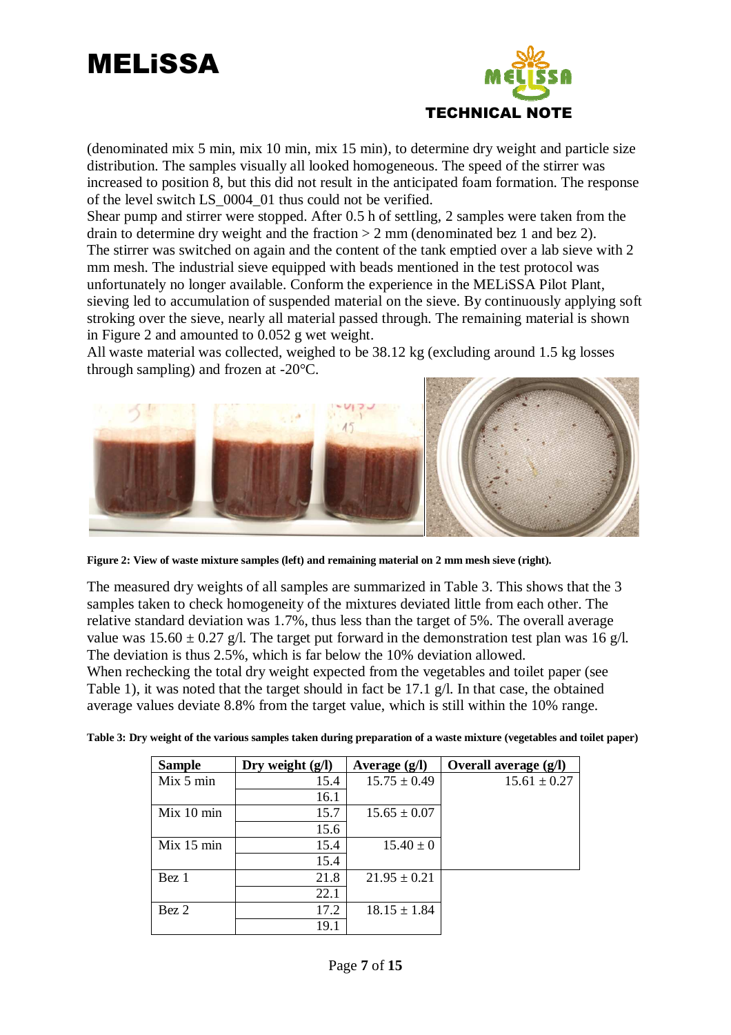## MELiSSA



(denominated mix 5 min, mix 10 min, mix 15 min), to determine dry weight and particle size distribution. The samples visually all looked homogeneous. The speed of the stirrer was increased to position 8, but this did not result in the anticipated foam formation. The response of the level switch LS\_0004\_01 thus could not be verified.

Shear pump and stirrer were stopped. After 0.5 h of settling, 2 samples were taken from the drain to determine dry weight and the fraction  $> 2$  mm (denominated bez 1 and bez 2). The stirrer was switched on again and the content of the tank emptied over a lab sieve with 2 mm mesh. The industrial sieve equipped with beads mentioned in the test protocol was unfortunately no longer available. Conform the experience in the MELiSSA Pilot Plant, sieving led to accumulation of suspended material on the sieve. By continuously applying soft stroking over the sieve, nearly all material passed through. The remaining material is shown in Figure 2 and amounted to 0.052 g wet weight.

All waste material was collected, weighed to be 38.12 kg (excluding around 1.5 kg losses through sampling) and frozen at -20°C.



**Figure 2: View of waste mixture samples (left) and remaining material on 2 mm mesh sieve (right).** 

The measured dry weights of all samples are summarized in Table 3. This shows that the 3 samples taken to check homogeneity of the mixtures deviated little from each other. The relative standard deviation was 1.7%, thus less than the target of 5%. The overall average value was  $15.60 \pm 0.27$  g/l. The target put forward in the demonstration test plan was 16 g/l. The deviation is thus 2.5%, which is far below the 10% deviation allowed. When rechecking the total dry weight expected from the vegetables and toilet paper (see Table 1), it was noted that the target should in fact be 17.1 g/l. In that case, the obtained average values deviate 8.8% from the target value, which is still within the 10% range.

| Table 3: Dry weight of the various samples taken during preparation of a waste mixture (vegetables and toilet paper) |  |  |
|----------------------------------------------------------------------------------------------------------------------|--|--|
|                                                                                                                      |  |  |

| <b>Sample</b> | Dry weight $(g/l)$ | Average $(g/l)$  | Overall average (g/l) |
|---------------|--------------------|------------------|-----------------------|
| Mix 5 min     | 15.4               | $15.75 \pm 0.49$ | $15.61 \pm 0.27$      |
|               | 16.1               |                  |                       |
| Mix 10 min    | 15.7               | $15.65 \pm 0.07$ |                       |
|               | 15.6               |                  |                       |
| Mix 15 min    | 15.4               | $15.40 \pm 0$    |                       |
|               | 15.4               |                  |                       |
| Bez 1         | 21.8               | $21.95 \pm 0.21$ |                       |
|               | 22.1               |                  |                       |
| Bez 2         | 17.2               | $18.15 \pm 1.84$ |                       |
|               | 19.1               |                  |                       |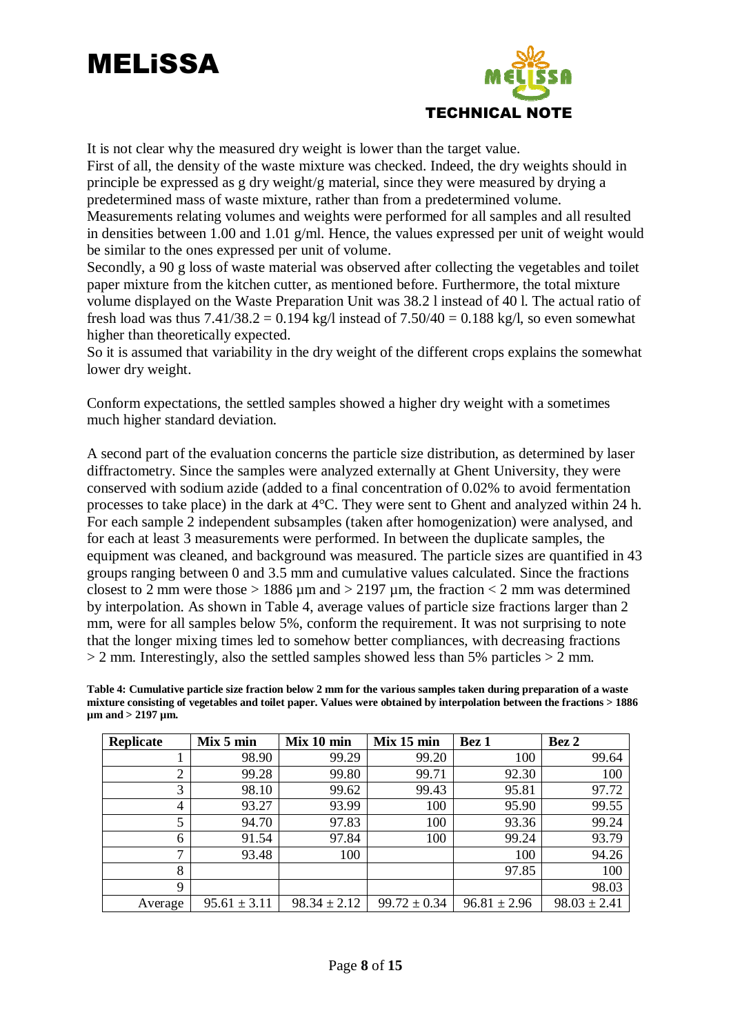

It is not clear why the measured dry weight is lower than the target value.

First of all, the density of the waste mixture was checked. Indeed, the dry weights should in principle be expressed as g dry weight/g material, since they were measured by drying a predetermined mass of waste mixture, rather than from a predetermined volume. Measurements relating volumes and weights were performed for all samples and all resulted in densities between 1.00 and 1.01 g/ml. Hence, the values expressed per unit of weight would be similar to the ones expressed per unit of volume.

Secondly, a 90 g loss of waste material was observed after collecting the vegetables and toilet paper mixture from the kitchen cutter, as mentioned before. Furthermore, the total mixture volume displayed on the Waste Preparation Unit was 38.2 l instead of 40 l. The actual ratio of fresh load was thus  $7.41/38.2 = 0.194$  kg/l instead of  $7.50/40 = 0.188$  kg/l, so even somewhat higher than theoretically expected.

So it is assumed that variability in the dry weight of the different crops explains the somewhat lower dry weight.

Conform expectations, the settled samples showed a higher dry weight with a sometimes much higher standard deviation.

A second part of the evaluation concerns the particle size distribution, as determined by laser diffractometry. Since the samples were analyzed externally at Ghent University, they were conserved with sodium azide (added to a final concentration of 0.02% to avoid fermentation processes to take place) in the dark at 4°C. They were sent to Ghent and analyzed within 24 h. For each sample 2 independent subsamples (taken after homogenization) were analysed, and for each at least 3 measurements were performed. In between the duplicate samples, the equipment was cleaned, and background was measured. The particle sizes are quantified in 43 groups ranging between 0 and 3.5 mm and cumulative values calculated. Since the fractions closest to 2 mm were those  $> 1886 \mu m$  and  $> 2197 \mu m$ , the fraction  $< 2$  mm was determined by interpolation. As shown in Table 4, average values of particle size fractions larger than 2 mm, were for all samples below 5%, conform the requirement. It was not surprising to note that the longer mixing times led to somehow better compliances, with decreasing fractions  $> 2$  mm. Interestingly, also the settled samples showed less than 5% particles  $> 2$  mm.

**Table 4: Cumulative particle size fraction below 2 mm for the various samples taken during preparation of a waste mixture consisting of vegetables and toilet paper. Values were obtained by interpolation between the fractions > 1886 µm and > 2197 µm.** 

| <b>Replicate</b> | Mix 5 min        | Mix 10 min       | Mix 15 min       | Bez 1            | Bez 2            |
|------------------|------------------|------------------|------------------|------------------|------------------|
|                  | 98.90            | 99.29            | 99.20            | 100              | 99.64            |
| ∍                | 99.28            | 99.80            | 99.71            | 92.30            | 100              |
| 3                | 98.10            | 99.62            | 99.43            | 95.81            | 97.72            |
| 4                | 93.27            | 93.99            | 100              | 95.90            | 99.55            |
| 5                | 94.70            | 97.83            | 100              | 93.36            | 99.24            |
| 6                | 91.54            | 97.84            | 100              | 99.24            | 93.79            |
| $\mathbf{r}$     | 93.48            | 100              |                  | 100              | 94.26            |
| 8                |                  |                  |                  | 97.85            | 100              |
| 9                |                  |                  |                  |                  | 98.03            |
| Average          | $95.61 \pm 3.11$ | $98.34 \pm 2.12$ | $99.72 \pm 0.34$ | $96.81 \pm 2.96$ | $98.03 \pm 2.41$ |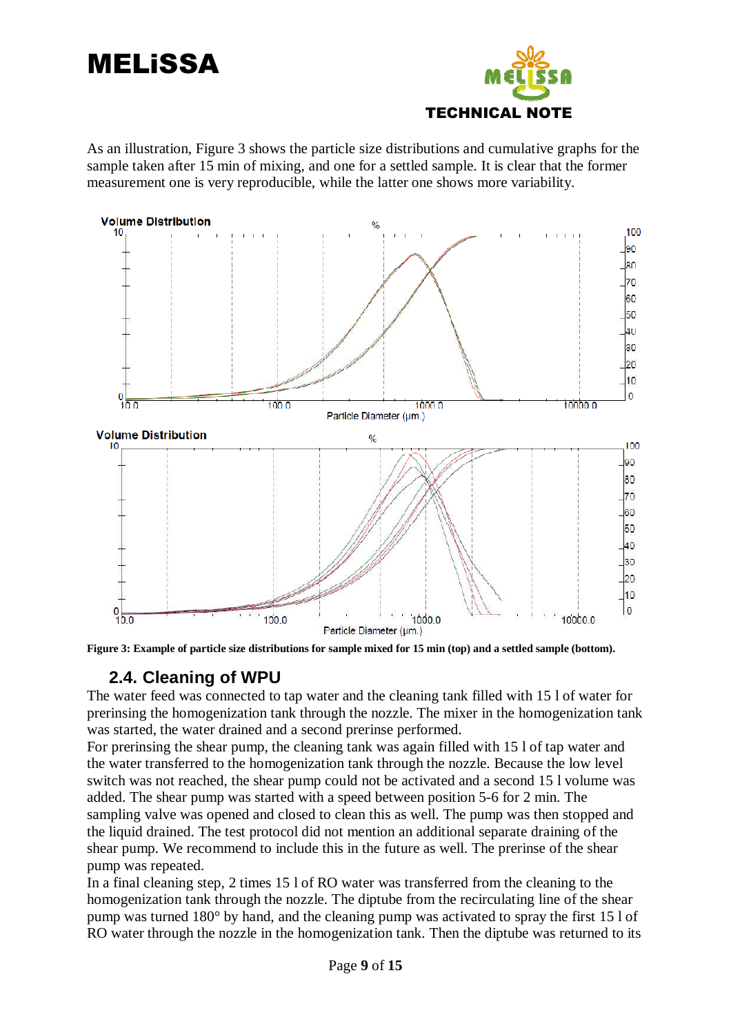

As an illustration, Figure 3 shows the particle size distributions and cumulative graphs for the sample taken after 15 min of mixing, and one for a settled sample. It is clear that the former measurement one is very reproducible, while the latter one shows more variability.





### **2.4. Cleaning of WPU**

The water feed was connected to tap water and the cleaning tank filled with 15 l of water for prerinsing the homogenization tank through the nozzle. The mixer in the homogenization tank was started, the water drained and a second prerinse performed.

For prerinsing the shear pump, the cleaning tank was again filled with 15 l of tap water and the water transferred to the homogenization tank through the nozzle. Because the low level switch was not reached, the shear pump could not be activated and a second 15 l volume was added. The shear pump was started with a speed between position 5-6 for 2 min. The sampling valve was opened and closed to clean this as well. The pump was then stopped and the liquid drained. The test protocol did not mention an additional separate draining of the shear pump. We recommend to include this in the future as well. The prerinse of the shear pump was repeated.

In a final cleaning step, 2 times 15 l of RO water was transferred from the cleaning to the homogenization tank through the nozzle. The diptube from the recirculating line of the shear pump was turned 180° by hand, and the cleaning pump was activated to spray the first 15 l of RO water through the nozzle in the homogenization tank. Then the diptube was returned to its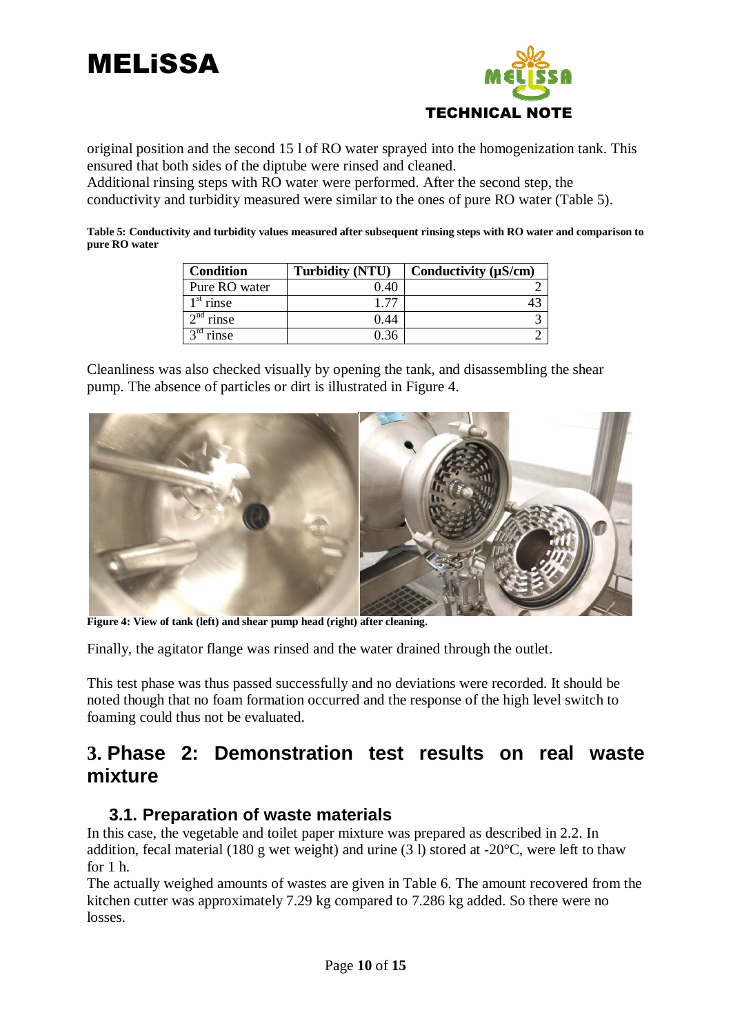



original position and the second 15 l of RO water sprayed into the homogenization tank. This ensured that both sides of the diptube were rinsed and cleaned.

Additional rinsing steps with RO water were performed. After the second step, the conductivity and turbidity measured were similar to the ones of pure RO water (Table 5).

**Table 5: Conductivity and turbidity values measured after subsequent rinsing steps with RO water and comparison to pure RO water** 

| <b>Condition</b>                 | <b>Turbidity (NTU)</b> | Conductivity $(\mu S/cm)$ |
|----------------------------------|------------------------|---------------------------|
| Pure RO water                    | 0.40                   |                           |
| $1st$ rinse                      | 1.77                   |                           |
| $2^{\overline{\text{nd}}}$ rinse | 0.44                   |                           |
| $3rd$ rinse                      | 0.36                   |                           |

Cleanliness was also checked visually by opening the tank, and disassembling the shear pump. The absence of particles or dirt is illustrated in Figure 4.



**Figure 4: View of tank (left) and shear pump head (right) after cleaning.** 

Finally, the agitator flange was rinsed and the water drained through the outlet.

This test phase was thus passed successfully and no deviations were recorded. It should be noted though that no foam formation occurred and the response of the high level switch to foaming could thus not be evaluated.

### **3. Phase 2: Demonstration test results on real waste mixture**

#### **3.1. Preparation of waste materials**

In this case, the vegetable and toilet paper mixture was prepared as described in 2.2. In addition, fecal material (180 g wet weight) and urine (3 l) stored at -20°C, were left to thaw for 1 h.

The actually weighed amounts of wastes are given in Table 6. The amount recovered from the kitchen cutter was approximately 7.29 kg compared to 7.286 kg added. So there were no losses.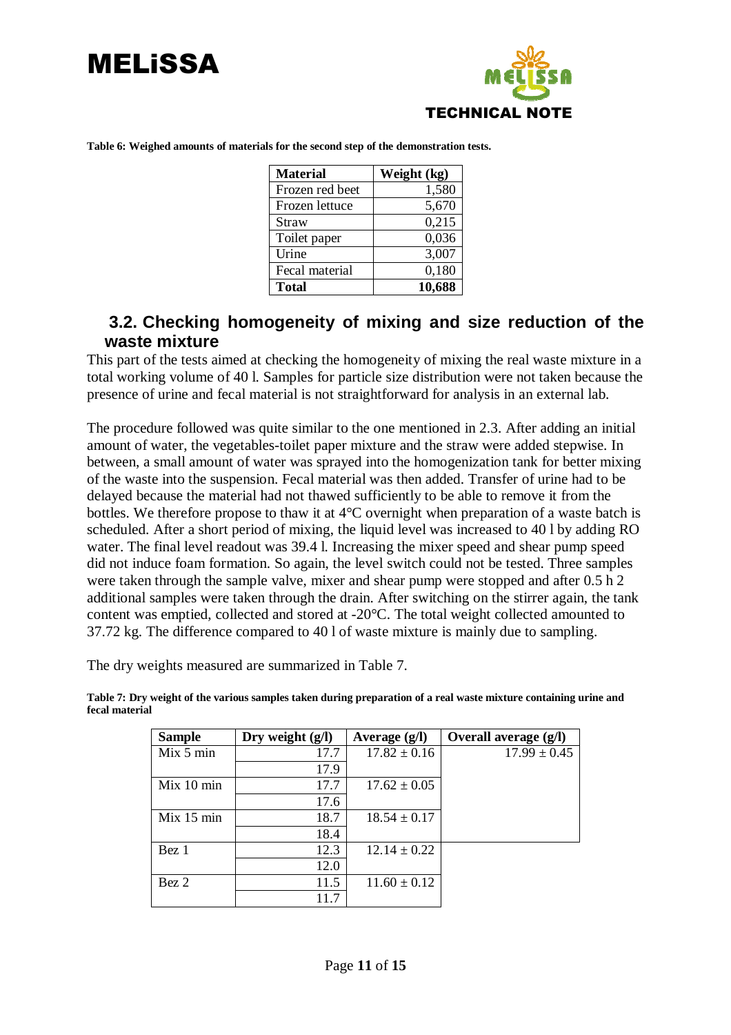



| <b>Material</b> | Weight (kg) |
|-----------------|-------------|
| Frozen red beet | 1,580       |
| Frozen lettuce  | 5,670       |
| Straw           | 0,215       |
| Toilet paper    | 0,036       |
| Urine           | 3,007       |
| Fecal material  | 0,180       |
| <b>Total</b>    | 10,688      |

**Table 6: Weighed amounts of materials for the second step of the demonstration tests.** 

### **3.2. Checking homogeneity of mixing and size reduction of the waste mixture**

This part of the tests aimed at checking the homogeneity of mixing the real waste mixture in a total working volume of 40 l. Samples for particle size distribution were not taken because the presence of urine and fecal material is not straightforward for analysis in an external lab.

The procedure followed was quite similar to the one mentioned in 2.3. After adding an initial amount of water, the vegetables-toilet paper mixture and the straw were added stepwise. In between, a small amount of water was sprayed into the homogenization tank for better mixing of the waste into the suspension. Fecal material was then added. Transfer of urine had to be delayed because the material had not thawed sufficiently to be able to remove it from the bottles. We therefore propose to thaw it at 4°C overnight when preparation of a waste batch is scheduled. After a short period of mixing, the liquid level was increased to 40 l by adding RO water. The final level readout was 39.4 l. Increasing the mixer speed and shear pump speed did not induce foam formation. So again, the level switch could not be tested. Three samples were taken through the sample valve, mixer and shear pump were stopped and after 0.5 h 2 additional samples were taken through the drain. After switching on the stirrer again, the tank content was emptied, collected and stored at -20°C. The total weight collected amounted to 37.72 kg. The difference compared to 40 l of waste mixture is mainly due to sampling.

The dry weights measured are summarized in Table 7.

| <b>Sample</b> | Dry weight $(g/l)$ | Average $(g/l)$  | Overall average (g/l) |
|---------------|--------------------|------------------|-----------------------|
| Mix 5 min     | 17.7               | $17.82 \pm 0.16$ | $17.99 \pm 0.45$      |
|               | 17.9               |                  |                       |
| Mix 10 min    | 17.7               | $17.62 \pm 0.05$ |                       |
|               | 17.6               |                  |                       |
| Mix 15 min    | 18.7               | $18.54 \pm 0.17$ |                       |
|               | 18.4               |                  |                       |
| Bez 1         | 12.3               | $12.14 \pm 0.22$ |                       |
|               | 12.0               |                  |                       |
| Bez 2         | 11.5               | $11.60 \pm 0.12$ |                       |
|               | 117                |                  |                       |

**Table 7: Dry weight of the various samples taken during preparation of a real waste mixture containing urine and fecal material**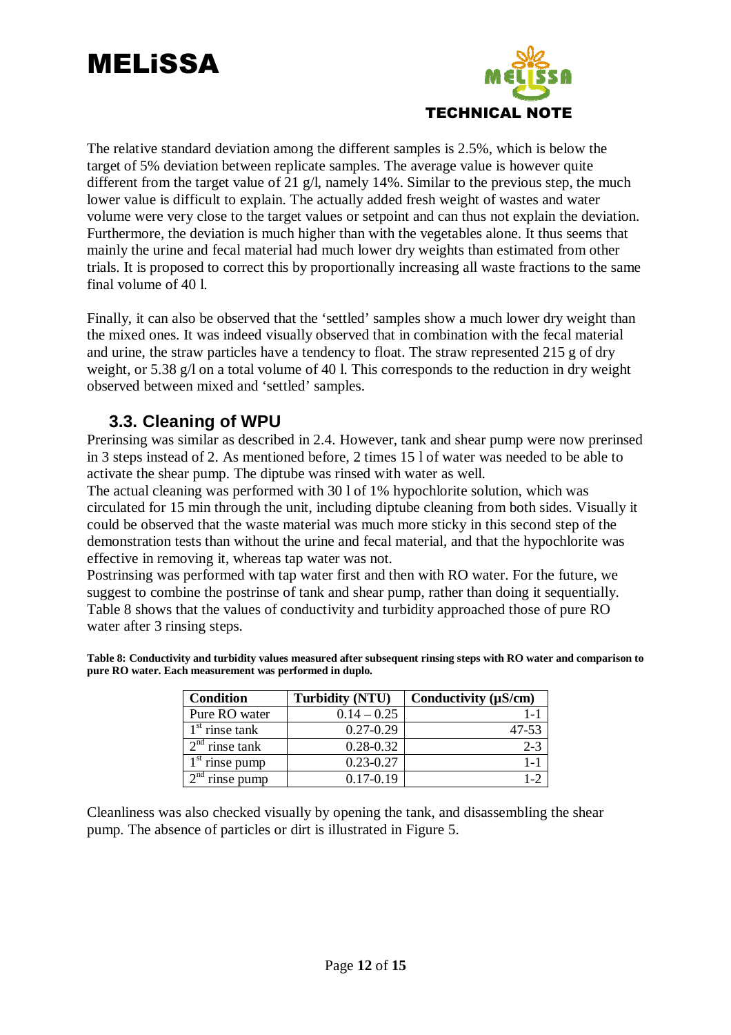

The relative standard deviation among the different samples is 2.5%, which is below the target of 5% deviation between replicate samples. The average value is however quite different from the target value of  $\overline{21}$  g/l, namely 14%. Similar to the previous step, the much lower value is difficult to explain. The actually added fresh weight of wastes and water volume were very close to the target values or setpoint and can thus not explain the deviation. Furthermore, the deviation is much higher than with the vegetables alone. It thus seems that mainly the urine and fecal material had much lower dry weights than estimated from other trials. It is proposed to correct this by proportionally increasing all waste fractions to the same final volume of 40 l.

Finally, it can also be observed that the 'settled' samples show a much lower dry weight than the mixed ones. It was indeed visually observed that in combination with the fecal material and urine, the straw particles have a tendency to float. The straw represented 215 g of dry weight, or 5.38 g/l on a total volume of 40 l. This corresponds to the reduction in dry weight observed between mixed and 'settled' samples.

### **3.3. Cleaning of WPU**

Prerinsing was similar as described in 2.4. However, tank and shear pump were now prerinsed in 3 steps instead of 2. As mentioned before, 2 times 15 l of water was needed to be able to activate the shear pump. The diptube was rinsed with water as well.

The actual cleaning was performed with 30 l of 1% hypochlorite solution, which was circulated for 15 min through the unit, including diptube cleaning from both sides. Visually it could be observed that the waste material was much more sticky in this second step of the demonstration tests than without the urine and fecal material, and that the hypochlorite was effective in removing it, whereas tap water was not.

Postrinsing was performed with tap water first and then with RO water. For the future, we suggest to combine the postrinse of tank and shear pump, rather than doing it sequentially. Table 8 shows that the values of conductivity and turbidity approached those of pure RO water after 3 rinsing steps.

| Table 8: Conductivity and turbidity values measured after subsequent rinsing steps with RO water and comparison to |  |
|--------------------------------------------------------------------------------------------------------------------|--|
| pure RO water. Each measurement was performed in duplo.                                                            |  |

| <b>Condition</b> | <b>Turbidity (NTU)</b> | Conductivity $(\mu S/cm)$ |
|------------------|------------------------|---------------------------|
| Pure RO water    | $0.14 - 0.25$          |                           |
| $1st$ rinse tank | $0.27 - 0.29$          | 47-53                     |
| $2nd$ rinse tank | $0.28 - 0.32$          | $2 - 3$                   |
| $1st$ rinse pump | $0.23 - 0.27$          |                           |
| rinse pump       | $0.17 - 0.19$          |                           |

Cleanliness was also checked visually by opening the tank, and disassembling the shear pump. The absence of particles or dirt is illustrated in Figure 5.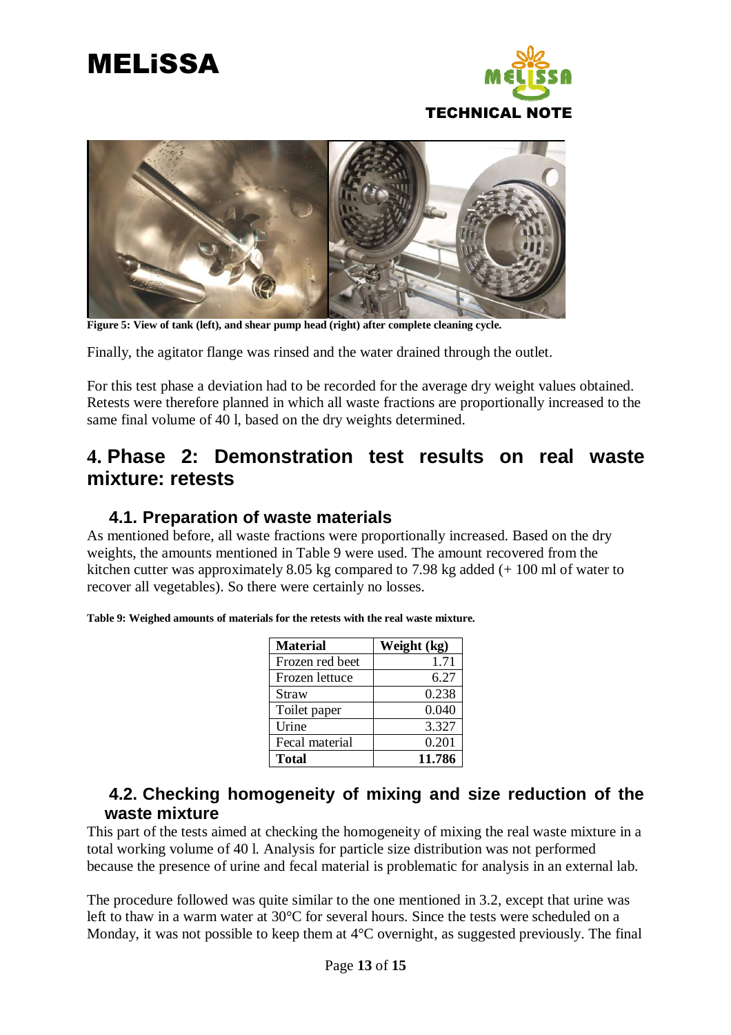



**Figure 5: View of tank (left), and shear pump head (right) after complete cleaning cycle.** 

Finally, the agitator flange was rinsed and the water drained through the outlet.

For this test phase a deviation had to be recorded for the average dry weight values obtained. Retests were therefore planned in which all waste fractions are proportionally increased to the same final volume of 40 l, based on the dry weights determined.

### **4. Phase 2: Demonstration test results on real waste mixture: retests**

#### **4.1. Preparation of waste materials**

As mentioned before, all waste fractions were proportionally increased. Based on the dry weights, the amounts mentioned in Table 9 were used. The amount recovered from the kitchen cutter was approximately 8.05 kg compared to 7.98 kg added (+ 100 ml of water to recover all vegetables). So there were certainly no losses.

| <b>Material</b> | Weight (kg) |
|-----------------|-------------|
| Frozen red beet | 1.71        |
| Frozen lettuce  | 6.27        |
| Straw           | 0.238       |
| Toilet paper    | 0.040       |
| Urine           | 3.327       |
| Fecal material  | 0.201       |
| <b>Total</b>    | 11.786      |

**Table 9: Weighed amounts of materials for the retests with the real waste mixture.** 

### **4.2. Checking homogeneity of mixing and size reduction of the waste mixture**

This part of the tests aimed at checking the homogeneity of mixing the real waste mixture in a total working volume of 40 l. Analysis for particle size distribution was not performed because the presence of urine and fecal material is problematic for analysis in an external lab.

The procedure followed was quite similar to the one mentioned in 3.2, except that urine was left to thaw in a warm water at 30°C for several hours. Since the tests were scheduled on a Monday, it was not possible to keep them at 4<sup>o</sup>C overnight, as suggested previously. The final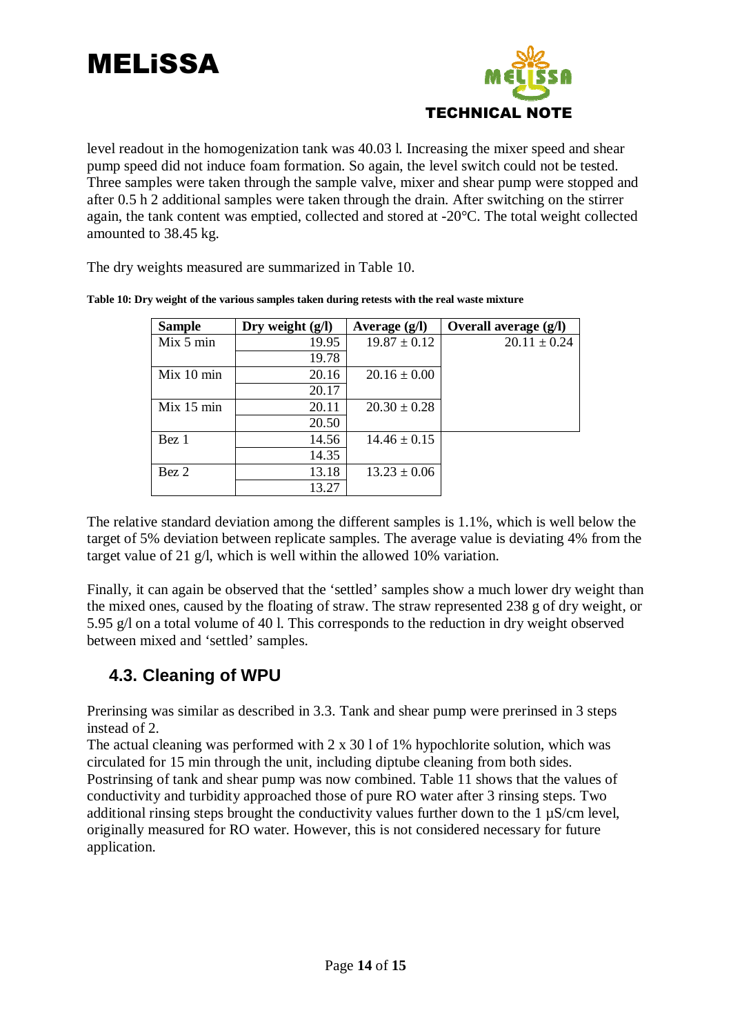

level readout in the homogenization tank was 40.03 l. Increasing the mixer speed and shear pump speed did not induce foam formation. So again, the level switch could not be tested. Three samples were taken through the sample valve, mixer and shear pump were stopped and after 0.5 h 2 additional samples were taken through the drain. After switching on the stirrer again, the tank content was emptied, collected and stored at -20°C. The total weight collected amounted to 38.45 kg.

The dry weights measured are summarized in Table 10.

| <b>Sample</b> | Dry weight $(g/l)$ | Average $(g/l)$  | Overall average (g/l) |
|---------------|--------------------|------------------|-----------------------|
| Mix 5 min     | 19.95              | $19.87 \pm 0.12$ | $20.11 \pm 0.24$      |
|               | 19.78              |                  |                       |
| Mix 10 min    | 20.16              | $20.16 \pm 0.00$ |                       |
|               | 20.17              |                  |                       |
| Mix 15 min    | 20.11              | $20.30 \pm 0.28$ |                       |
|               | 20.50              |                  |                       |
| Bez 1         | 14.56              | $14.46 \pm 0.15$ |                       |
|               | 14.35              |                  |                       |
| Bez 2         | 13.18              | $13.23 \pm 0.06$ |                       |
|               | 13.27              |                  |                       |

**Table 10: Dry weight of the various samples taken during retests with the real waste mixture** 

The relative standard deviation among the different samples is 1.1%, which is well below the target of 5% deviation between replicate samples. The average value is deviating 4% from the target value of 21 g/l, which is well within the allowed 10% variation.

Finally, it can again be observed that the 'settled' samples show a much lower dry weight than the mixed ones, caused by the floating of straw. The straw represented 238 g of dry weight, or 5.95 g/l on a total volume of 40 l. This corresponds to the reduction in dry weight observed between mixed and 'settled' samples.

### **4.3. Cleaning of WPU**

Prerinsing was similar as described in 3.3. Tank and shear pump were prerinsed in 3 steps instead of 2.

The actual cleaning was performed with 2 x 30 l of 1% hypochlorite solution, which was circulated for 15 min through the unit, including diptube cleaning from both sides. Postrinsing of tank and shear pump was now combined. Table 11 shows that the values of conductivity and turbidity approached those of pure RO water after 3 rinsing steps. Two additional rinsing steps brought the conductivity values further down to the 1 µS/cm level, originally measured for RO water. However, this is not considered necessary for future application.